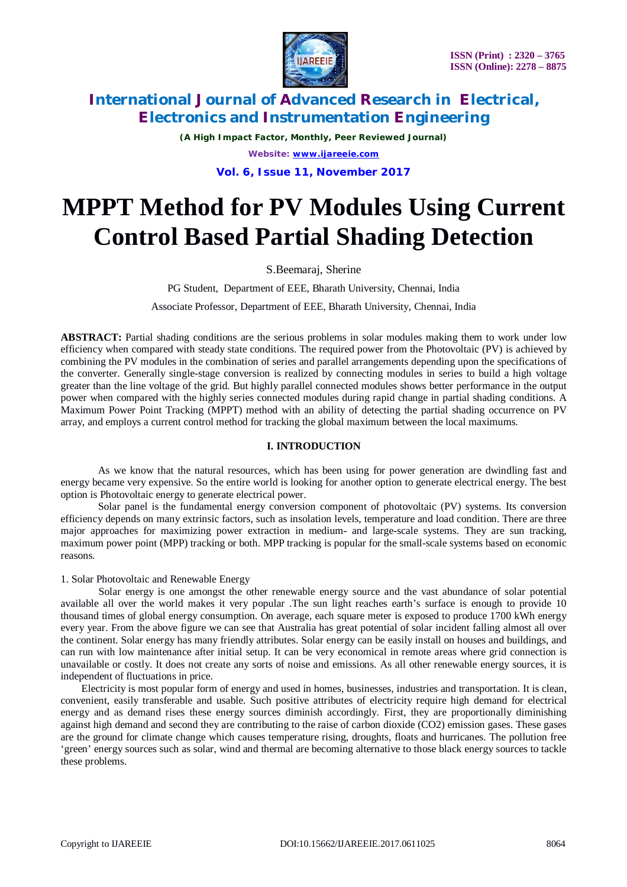

*(A High Impact Factor, Monthly, Peer Reviewed Journal) Website: [www.ijareeie.com](http://www.ijareeie.com)* **Vol. 6, Issue 11, November 2017**

# **MPPT Method for PV Modules Using Current Control Based Partial Shading Detection**

S.Beemaraj, Sherine

PG Student, Department of EEE, Bharath University, Chennai, India

Associate Professor, Department of EEE, Bharath University, Chennai, India

**ABSTRACT:** Partial shading conditions are the serious problems in solar modules making them to work under low efficiency when compared with steady state conditions. The required power from the Photovoltaic (PV) is achieved by combining the PV modules in the combination of series and parallel arrangements depending upon the specifications of the converter. Generally single-stage conversion is realized by connecting modules in series to build a high voltage greater than the line voltage of the grid. But highly parallel connected modules shows better performance in the output power when compared with the highly series connected modules during rapid change in partial shading conditions. A Maximum Power Point Tracking (MPPT) method with an ability of detecting the partial shading occurrence on PV array, and employs a current control method for tracking the global maximum between the local maximums.

# **I. INTRODUCTION**

As we know that the natural resources, which has been using for power generation are dwindling fast and energy became very expensive. So the entire world is looking for another option to generate electrical energy. The best option is Photovoltaic energy to generate electrical power.

Solar panel is the fundamental energy conversion component of photovoltaic (PV) systems. Its conversion efficiency depends on many extrinsic factors, such as insolation levels, temperature and load condition. There are three major approaches for maximizing power extraction in medium- and large-scale systems. They are sun tracking, maximum power point (MPP) tracking or both. MPP tracking is popular for the small-scale systems based on economic reasons.

### 1. Solar Photovoltaic and Renewable Energy

Solar energy is one amongst the other renewable energy source and the vast abundance of solar potential available all over the world makes it very popular .The sun light reaches earth's surface is enough to provide 10 thousand times of global energy consumption. On average, each square meter is exposed to produce 1700 kWh energy every year. From the above figure we can see that Australia has great potential of solar incident falling almost all over the continent. Solar energy has many friendly attributes. Solar energy can be easily install on houses and buildings, and can run with low maintenance after initial setup. It can be very economical in remote areas where grid connection is unavailable or costly. It does not create any sorts of noise and emissions. As all other renewable energy sources, it is independent of fluctuations in price.

 Electricity is most popular form of energy and used in homes, businesses, industries and transportation. It is clean, convenient, easily transferable and usable. Such positive attributes of electricity require high demand for electrical energy and as demand rises these energy sources diminish accordingly. First, they are proportionally diminishing against high demand and second they are contributing to the raise of carbon dioxide (CO2) emission gases. These gases are the ground for climate change which causes temperature rising, droughts, floats and hurricanes. The pollution free 'green' energy sources such as solar, wind and thermal are becoming alternative to those black energy sources to tackle these problems.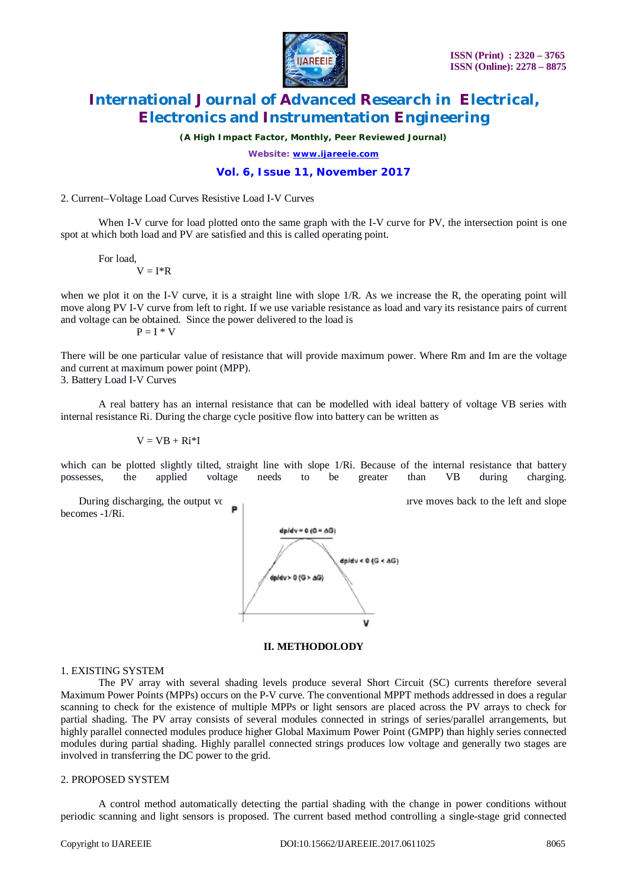

*(A High Impact Factor, Monthly, Peer Reviewed Journal)*

*Website: [www.ijareeie.com](http://www.ijareeie.com)*

# **Vol. 6, Issue 11, November 2017**

#### 2. Current–Voltage Load Curves Resistive Load I-V Curves

When I-V curve for load plotted onto the same graph with the I-V curve for PV, the intersection point is one spot at which both load and PV are satisfied and this is called operating point.

For load,  $V = I^*R$ 

when we plot it on the I-V curve, it is a straight line with slope  $1/R$ . As we increase the R, the operating point will move along PV I-V curve from left to right. If we use variable resistance as load and vary its resistance pairs of current and voltage can be obtained. Since the power delivered to the load is

 $P = I * V$ 

There will be one particular value of resistance that will provide maximum power. Where Rm and Im are the voltage and current at maximum power point (MPP).

3. Battery Load I-V Curves

A real battery has an internal resistance that can be modelled with ideal battery of voltage VB series with internal resistance Ri. During the charge cycle positive flow into battery can be written as

 $V = VB + Ri*I$ 

which can be plotted slightly tilted, straight line with slope 1/Ri. Because of the internal resistance that battery possesses, the applied voltage needs to be greater than VB during charging. possesses, the applied voltage needs to be greater than VB during charging.

During discharging, the output voltage of the battery is less than VB, I-V curve moves back to the left and slope becomes -1/Ri.



#### **II. METHODOLODY**

#### 1. EXISTING SYSTEM

The PV array with several shading levels produce several Short Circuit (SC) currents therefore several Maximum Power Points (MPPs) occurs on the P-V curve. The conventional MPPT methods addressed in does a regular scanning to check for the existence of multiple MPPs or light sensors are placed across the PV arrays to check for partial shading. The PV array consists of several modules connected in strings of series/parallel arrangements, but highly parallel connected modules produce higher Global Maximum Power Point (GMPP) than highly series connected modules during partial shading. Highly parallel connected strings produces low voltage and generally two stages are involved in transferring the DC power to the grid.

#### 2. PROPOSED SYSTEM

A control method automatically detecting the partial shading with the change in power conditions without periodic scanning and light sensors is proposed. The current based method controlling a single-stage grid connected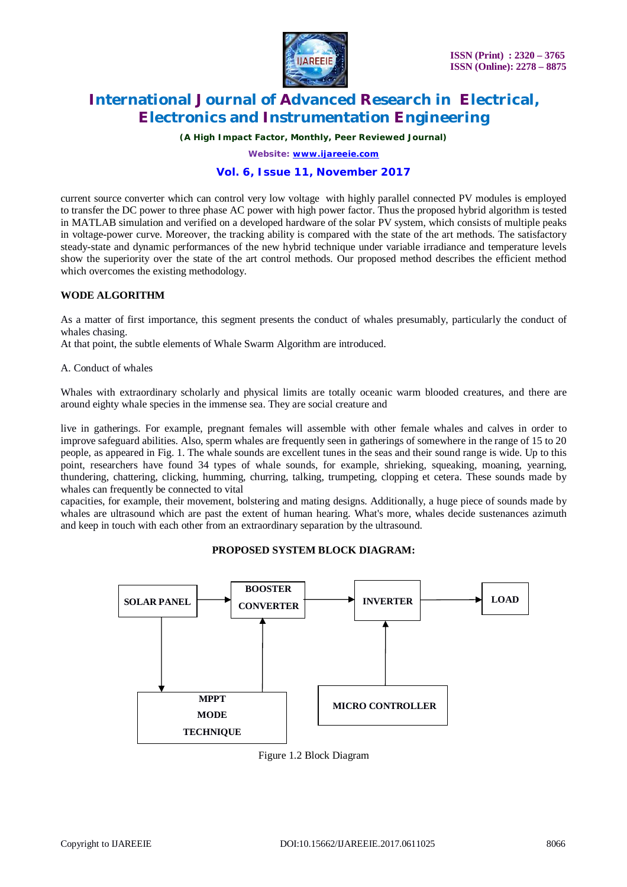

*(A High Impact Factor, Monthly, Peer Reviewed Journal)*

*Website: [www.ijareeie.com](http://www.ijareeie.com)*

# **Vol. 6, Issue 11, November 2017**

current source converter which can control very low voltage with highly parallel connected PV modules is employed to transfer the DC power to three phase AC power with high power factor. Thus the proposed hybrid algorithm is tested in MATLAB simulation and verified on a developed hardware of the solar PV system, which consists of multiple peaks in voltage-power curve. Moreover, the tracking ability is compared with the state of the art methods. The satisfactory steady-state and dynamic performances of the new hybrid technique under variable irradiance and temperature levels show the superiority over the state of the art control methods. Our proposed method describes the efficient method which overcomes the existing methodology.

### **WODE ALGORITHM**

As a matter of first importance, this segment presents the conduct of whales presumably, particularly the conduct of whales chasing.

At that point, the subtle elements of Whale Swarm Algorithm are introduced.

#### A. Conduct of whales

Whales with extraordinary scholarly and physical limits are totally oceanic warm blooded creatures, and there are around eighty whale species in the immense sea. They are social creature and

live in gatherings. For example, pregnant females will assemble with other female whales and calves in order to improve safeguard abilities. Also, sperm whales are frequently seen in gatherings of somewhere in the range of 15 to 20 people, as appeared in Fig. 1. The whale sounds are excellent tunes in the seas and their sound range is wide. Up to this point, researchers have found 34 types of whale sounds, for example, shrieking, squeaking, moaning, yearning, thundering, chattering, clicking, humming, churring, talking, trumpeting, clopping et cetera. These sounds made by whales can frequently be connected to vital

capacities, for example, their movement, bolstering and mating designs. Additionally, a huge piece of sounds made by whales are ultrasound which are past the extent of human hearing. What's more, whales decide sustenances azimuth and keep in touch with each other from an extraordinary separation by the ultrasound.

### **PROPOSED SYSTEM BLOCK DIAGRAM:**



Figure 1.2 Block Diagram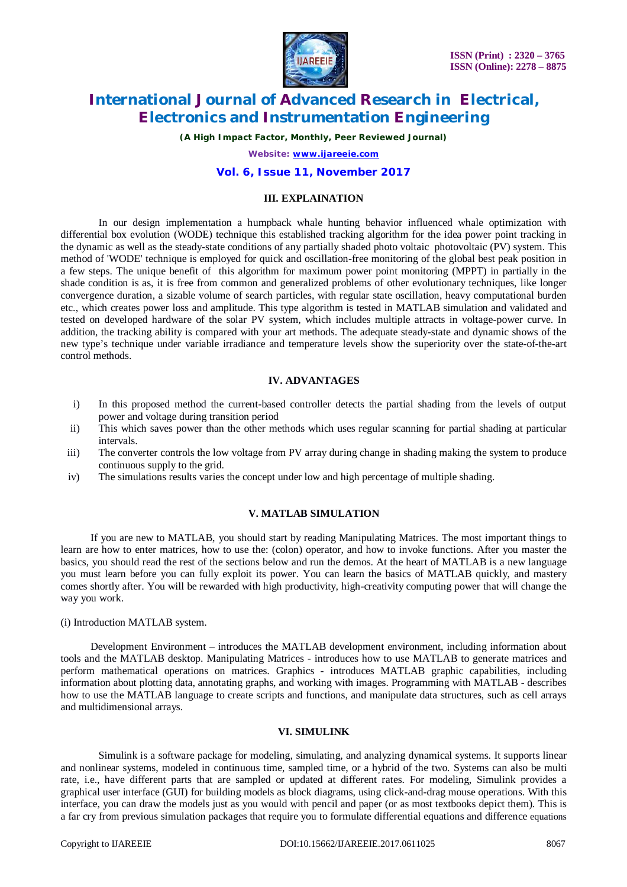

*(A High Impact Factor, Monthly, Peer Reviewed Journal)*

*Website: [www.ijareeie.com](http://www.ijareeie.com)*

# **Vol. 6, Issue 11, November 2017**

### **III. EXPLAINATION**

In our design implementation a humpback whale hunting behavior influenced whale optimization with differential box evolution (WODE) technique this established tracking algorithm for the idea power point tracking in the dynamic as well as the steady-state conditions of any partially shaded photo voltaic photovoltaic (PV) system. This method of 'WODE' technique is employed for quick and oscillation-free monitoring of the global best peak position in a few steps. The unique benefit of this algorithm for maximum power point monitoring (MPPT) in partially in the shade condition is as, it is free from common and generalized problems of other evolutionary techniques, like longer convergence duration, a sizable volume of search particles, with regular state oscillation, heavy computational burden etc., which creates power loss and amplitude. This type algorithm is tested in MATLAB simulation and validated and tested on developed hardware of the solar PV system, which includes multiple attracts in voltage-power curve. In addition, the tracking ability is compared with your art methods. The adequate steady-state and dynamic shows of the new type's technique under variable irradiance and temperature levels show the superiority over the state-of-the-art control methods.

# **IV. ADVANTAGES**

- i) In this proposed method the current-based controller detects the partial shading from the levels of output power and voltage during transition period
- ii) This which saves power than the other methods which uses regular scanning for partial shading at particular intervals.
- iii) The converter controls the low voltage from PV array during change in shading making the system to produce continuous supply to the grid.
- iv) The simulations results varies the concept under low and high percentage of multiple shading.

#### **V. MATLAB SIMULATION**

If you are new to MATLAB, you should start by reading Manipulating Matrices. The most important things to learn are how to enter matrices, how to use the: (colon) operator, and how to invoke functions. After you master the basics, you should read the rest of the sections below and run the demos. At the heart of MATLAB is a new language you must learn before you can fully exploit its power. You can learn the basics of MATLAB quickly, and mastery comes shortly after. You will be rewarded with high productivity, high-creativity computing power that will change the way you work.

#### (i) Introduction MATLAB system.

Development Environment – introduces the MATLAB development environment, including information about tools and the MATLAB desktop. Manipulating Matrices - introduces how to use MATLAB to generate matrices and perform mathematical operations on matrices. Graphics - introduces MATLAB graphic capabilities, including information about plotting data, annotating graphs, and working with images. Programming with MATLAB - describes how to use the MATLAB language to create scripts and functions, and manipulate data structures, such as cell arrays and multidimensional arrays.

# **VI. SIMULINK**

Simulink is a software package for modeling, simulating, and analyzing dynamical systems. It supports linear and nonlinear systems, modeled in continuous time, sampled time, or a hybrid of the two. Systems can also be multi rate, i.e., have different parts that are sampled or updated at different rates. For modeling, Simulink provides a graphical user interface (GUI) for building models as block diagrams, using click-and-drag mouse operations. With this interface, you can draw the models just as you would with pencil and paper (or as most textbooks depict them). This is a far cry from previous simulation packages that require you to formulate differential equations and difference equations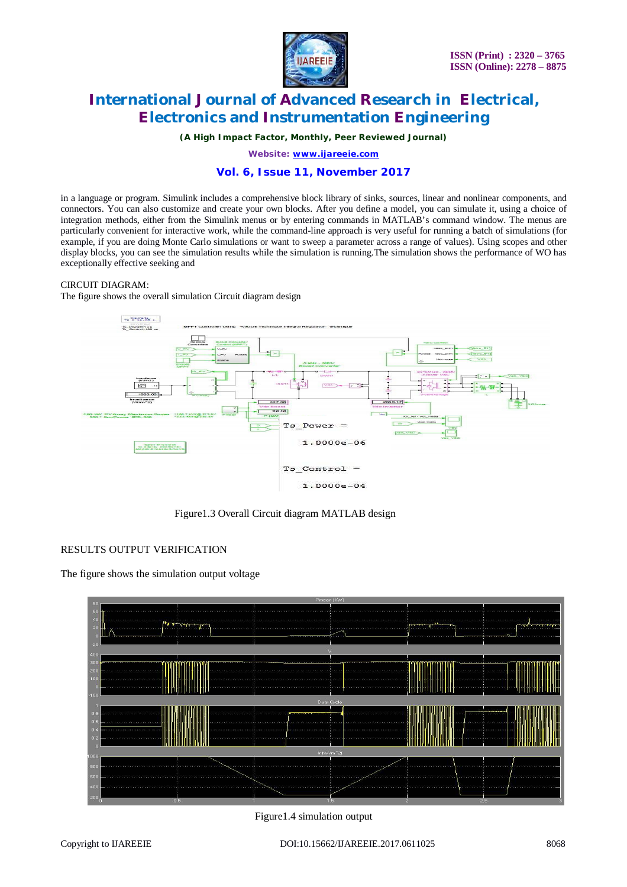

*(A High Impact Factor, Monthly, Peer Reviewed Journal)*

*Website: [www.ijareeie.com](http://www.ijareeie.com)*

# **Vol. 6, Issue 11, November 2017**

in a language or program. Simulink includes a comprehensive block library of sinks, sources, linear and nonlinear components, and connectors. You can also customize and create your own blocks. After you define a model, you can simulate it, using a choice of integration methods, either from the Simulink menus or by entering commands in MATLAB's command window. The menus are particularly convenient for interactive work, while the command-line approach is very useful for running a batch of simulations (for example, if you are doing Monte Carlo simulations or want to sweep a parameter across a range of values). Using scopes and other display blocks, you can see the simulation results while the simulation is running.The simulation shows the performance of WO has exceptionally effective seeking and

#### CIRCUIT DIAGRAM:

The figure shows the overall simulation Circuit diagram design



Figure1.3 Overall Circuit diagram MATLAB design

### RESULTS OUTPUT VERIFICATION

The figure shows the simulation output voltage



Figure1.4 simulation output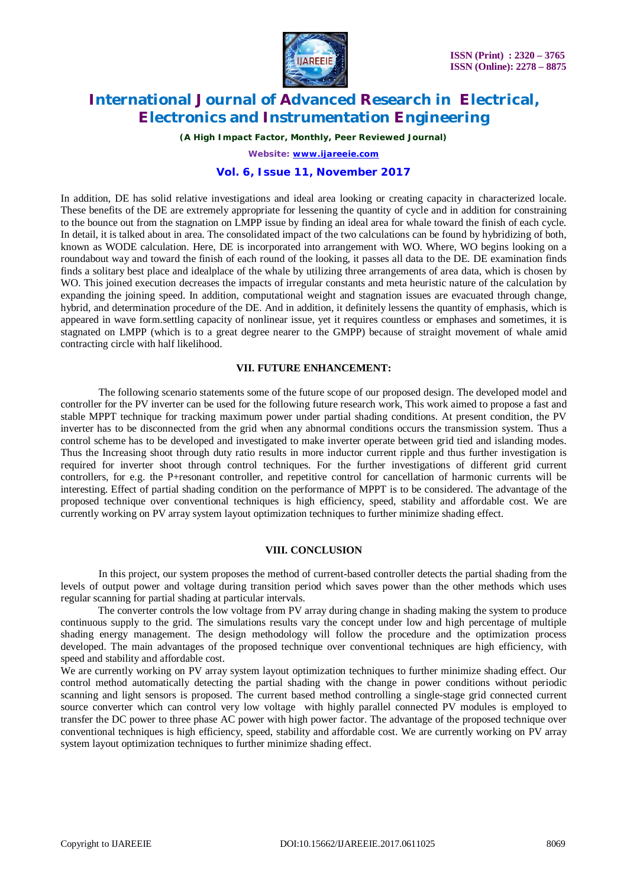

*(A High Impact Factor, Monthly, Peer Reviewed Journal)*

*Website: [www.ijareeie.com](http://www.ijareeie.com)*

### **Vol. 6, Issue 11, November 2017**

In addition, DE has solid relative investigations and ideal area looking or creating capacity in characterized locale. These benefits of the DE are extremely appropriate for lessening the quantity of cycle and in addition for constraining to the bounce out from the stagnation on LMPP issue by finding an ideal area for whale toward the finish of each cycle. In detail, it is talked about in area. The consolidated impact of the two calculations can be found by hybridizing of both, known as WODE calculation. Here, DE is incorporated into arrangement with WO. Where, WO begins looking on a roundabout way and toward the finish of each round of the looking, it passes all data to the DE. DE examination finds finds a solitary best place and idealplace of the whale by utilizing three arrangements of area data, which is chosen by WO. This joined execution decreases the impacts of irregular constants and meta heuristic nature of the calculation by expanding the joining speed. In addition, computational weight and stagnation issues are evacuated through change, hybrid, and determination procedure of the DE. And in addition, it definitely lessens the quantity of emphasis, which is appeared in wave form.settling capacity of nonlinear issue, yet it requires countless or emphases and sometimes, it is stagnated on LMPP (which is to a great degree nearer to the GMPP) because of straight movement of whale amid contracting circle with half likelihood.

### **VII. FUTURE ENHANCEMENT:**

The following scenario statements some of the future scope of our proposed design. The developed model and controller for the PV inverter can be used for the following future research work, This work aimed to propose a fast and stable MPPT technique for tracking maximum power under partial shading conditions. At present condition, the PV inverter has to be disconnected from the grid when any abnormal conditions occurs the transmission system. Thus a control scheme has to be developed and investigated to make inverter operate between grid tied and islanding modes. Thus the Increasing shoot through duty ratio results in more inductor current ripple and thus further investigation is required for inverter shoot through control techniques. For the further investigations of different grid current controllers, for e.g. the P+resonant controller, and repetitive control for cancellation of harmonic currents will be interesting. Effect of partial shading condition on the performance of MPPT is to be considered. The advantage of the proposed technique over conventional techniques is high efficiency, speed, stability and affordable cost. We are currently working on PV array system layout optimization techniques to further minimize shading effect.

#### **VIII. CONCLUSION**

In this project, our system proposes the method of current-based controller detects the partial shading from the levels of output power and voltage during transition period which saves power than the other methods which uses regular scanning for partial shading at particular intervals.

The converter controls the low voltage from PV array during change in shading making the system to produce continuous supply to the grid. The simulations results vary the concept under low and high percentage of multiple shading energy management. The design methodology will follow the procedure and the optimization process developed. The main advantages of the proposed technique over conventional techniques are high efficiency, with speed and stability and affordable cost.

We are currently working on PV array system layout optimization techniques to further minimize shading effect. Our control method automatically detecting the partial shading with the change in power conditions without periodic scanning and light sensors is proposed. The current based method controlling a single-stage grid connected current source converter which can control very low voltage with highly parallel connected PV modules is employed to transfer the DC power to three phase AC power with high power factor. The advantage of the proposed technique over conventional techniques is high efficiency, speed, stability and affordable cost. We are currently working on PV array system layout optimization techniques to further minimize shading effect.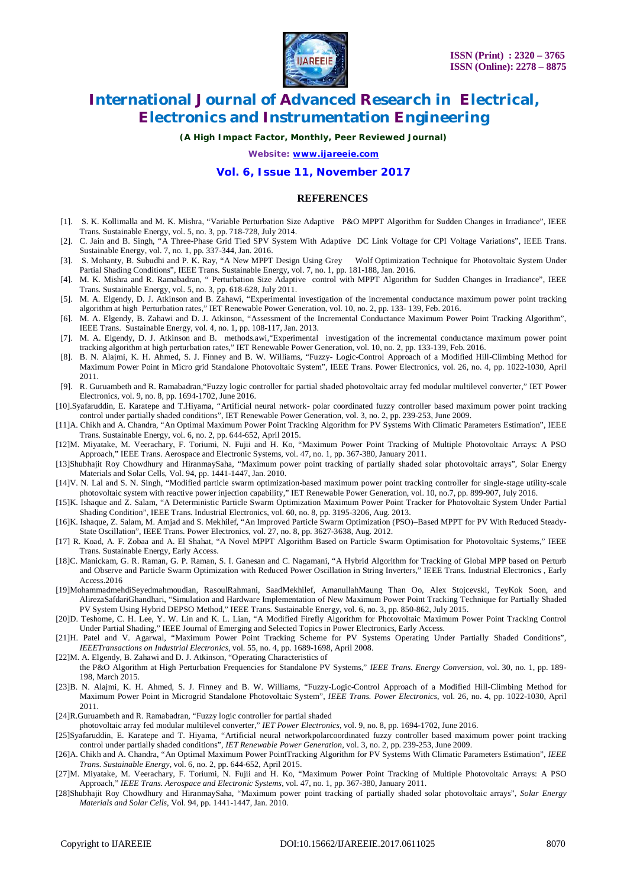

*(A High Impact Factor, Monthly, Peer Reviewed Journal)*

*Website: [www.ijareeie.com](http://www.ijareeie.com)*

#### **Vol. 6, Issue 11, November 2017**

#### **REFERENCES**

- [1]. S. K. Kollimalla and M. K. Mishra, "Variable Perturbation Size Adaptive P&O MPPT Algorithm for Sudden Changes in Irradiance", IEEE Trans. Sustainable Energy, vol. 5, no. 3, pp. 718-728, July 2014.
- [2]. C. Jain and B. Singh, "A Three-Phase Grid Tied SPV System With Adaptive DC Link Voltage for CPI Voltage Variations", IEEE Trans. Sustainable Energy, vol. 7, no. 1, pp. 337-344, Jan. 2016.
- [3]. S. Mohanty, B. Subudhi and P. K. Ray, "A New MPPT Design Using Grey Wolf Optimization Technique for Photovoltaic System Under Partial Shading Conditions", IEEE Trans. Sustainable Energy, vol. 7, no. 1, pp. 181-188, Jan. 2016.
- [4]. M. K. Mishra and R. Ramabadran, " Perturbation Size Adaptive control with MPPT Algorithm for Sudden Changes in Irradiance", IEEE Trans. Sustainable Energy, vol. 5, no. 3, pp. 618-628, July 2011.
- [5]. M. A. Elgendy, D. J. Atkinson and B. Zahawi, "Experimental investigation of the incremental conductance maximum power point tracking algorithm at high Perturbation rates," IET Renewable Power Generation, vol. 10, no. 2, pp. 133- 139, Feb. 2016.
- [6]. M. A. Elgendy, B. Zahawi and D. J. Atkinson, "Assessment of the Incremental Conductance Maximum Power Point Tracking Algorithm", IEEE Trans. Sustainable Energy, vol. 4, no. 1, pp. 108-117, Jan. 2013.
- [7]. M. A. Elgendy, D. J. Atkinson and B. methods.awi,"Experimental investigation of the incremental conductance maximum power point tracking algorithm at high perturbation rates," IET Renewable Power Generation, vol. 10, no. 2, pp. 133-139, Feb. 2016.
- [8]. B. N. Alajmi, K. H. Ahmed, S. J. Finney and B. W. Williams, "Fuzzy- Logic-Control Approach of a Modified Hill-Climbing Method for Maximum Power Point in Micro grid Standalone Photovoltaic System", IEEE Trans. Power Electronics, vol. 26, no. 4, pp. 1022-1030, April 2011.
- [9]. R. Guruambeth and R. Ramabadran,"Fuzzy logic controller for partial shaded photovoltaic array fed modular multilevel converter," IET Power Electronics, vol. 9, no. 8, pp. 1694-1702, June 2016.
- [10].Syafaruddin, E. Karatepe and T.Hiyama, "Artificial neural network- polar coordinated fuzzy controller based maximum power point tracking control under partially shaded conditions", IET Renewable Power Generation, vol. 3, no. 2, pp. 239-253, June 2009.
- [11]A. Chikh and A. Chandra, "An Optimal Maximum Power Point Tracking Algorithm for PV Systems With Climatic Parameters Estimation", IEEE Trans. Sustainable Energy, vol. 6, no. 2, pp. 644-652, April 2015.
- [12]M. Miyatake, M. Veerachary, F. Toriumi, N. Fujii and H. Ko, "Maximum Power Point Tracking of Multiple Photovoltaic Arrays: A PSO Approach," IEEE Trans. Aerospace and Electronic Systems, vol. 47, no. 1, pp. 367-380, January 2011.
- [13]Shubhajit Roy Chowdhury and HiranmaySaha, "Maximum power point tracking of partially shaded solar photovoltaic arrays", Solar Energy Materials and Solar Cells, Vol. 94, pp. 1441-1447, Jan. 2010.
- [14]V. N. Lal and S. N. Singh, "Modified particle swarm optimization-based maximum power point tracking controller for single-stage utility-scale photovoltaic system with reactive power injection capability," IET Renewable Power Generation, vol. 10, no.7, pp. 899-907, July 2016.
- [15]K. Ishaque and Z. Salam, "A Deterministic Particle Swarm Optimization Maximum Power Point Tracker for Photovoltaic System Under Partial Shading Condition", IEEE Trans. Industrial Electronics, vol. 60, no. 8, pp. 3195-3206, Aug. 2013.
- [16]K. Ishaque, Z. Salam, M. Amjad and S. Mekhilef, "An Improved Particle Swarm Optimization (PSO)–Based MPPT for PV With Reduced Steady-State Oscillation", IEEE Trans. Power Electronics, vol. 27, no. 8, pp. 3627-3638, Aug. 2012.
- [17] R. Koad, A. F. Zobaa and A. El Shahat, "A Novel MPPT Algorithm Based on Particle Swarm Optimisation for Photovoltaic Systems," IEEE Trans. Sustainable Energy, Early Access.
- [18]C. Manickam, G. R. Raman, G. P. Raman, S. I. Ganesan and C. Nagamani, "A Hybrid Algorithm for Tracking of Global MPP based on Perturb and Observe and Particle Swarm Optimization with Reduced Power Oscillation in String Inverters," IEEE Trans. Industrial Electronics , Early Access.2016
- [19]MohammadmehdiSeyedmahmoudian, RasoulRahmani, SaadMekhilef, AmanullahMaung Than Oo, Alex Stojcevski, TeyKok Soon, and AlirezaSafdariGhandhari, "Simulation and Hardware Implementation of New Maximum Power Point Tracking Technique for Partially Shaded PV System Using Hybrid DEPSO Method," IEEE Trans. Sustainable Energy, vol. 6, no. 3, pp. 850-862, July 2015.
- [20]D. Teshome, C. H. Lee, Y. W. Lin and K. L. Lian, "A Modified Firefly Algorithm for Photovoltaic Maximum Power Point Tracking Control Under Partial Shading," IEEE Journal of Emerging and Selected Topics in Power Electronics, Early Access.
- [21]H. Patel and V. Agarwal, "Maximum Power Point Tracking Scheme for PV Systems Operating Under Partially Shaded Conditions", *IEEETransactions on Industrial Electronics*, vol. 55, no. 4, pp. 1689-1698, April 2008.
- [22]M. A. Elgendy, B. Zahawi and D. J. Atkinson, "Operating Characteristics of the P&O Algorithm at High Perturbation Frequencies for Standalone PV Systems," *IEEE Trans. Energy Conversion*, vol. 30, no. 1, pp. 189- 198, March 2015.
- [23]B. N. Alajmi, K. H. Ahmed, S. J. Finney and B. W. Williams, "Fuzzy-Logic-Control Approach of a Modified Hill-Climbing Method for Maximum Power Point in Microgrid Standalone Photovoltaic System", *IEEE Trans. Power Electronics*, vol. 26, no. 4, pp. 1022-1030, April 2011.
- [24]R.Guruambeth and R. Ramabadran, "Fuzzy logic controller for partial shaded

photovoltaic array fed modular multilevel converter," *IET Power Electronics*, vol. 9, no. 8, pp. 1694-1702, June 2016.

- [25]Syafaruddin, E. Karatepe and T. Hiyama, "Artificial neural networkpolarcoordinated fuzzy controller based maximum power point tracking control under partially shaded conditions", *IET Renewable Power Generation*, vol. 3, no. 2, pp. 239-253, June 2009.
- [26]A. Chikh and A. Chandra, "An Optimal Maximum Power PointTracking Algorithm for PV Systems With Climatic Parameters Estimation", *IEEE Trans. Sustainable Energy*, vol. 6, no. 2, pp. 644-652, April 2015.
- [27]M. Miyatake, M. Veerachary, F. Toriumi, N. Fujii and H. Ko, "Maximum Power Point Tracking of Multiple Photovoltaic Arrays: A PSO Approach," *IEEE Trans. Aerospace and Electronic Systems*, vol. 47, no. 1, pp. 367-380, January 2011.
- [28]Shubhajit Roy Chowdhury and HiranmaySaha, "Maximum power point tracking of partially shaded solar photovoltaic arrays", *Solar Energy Materials and Solar Cells*, Vol. 94, pp. 1441-1447, Jan. 2010.